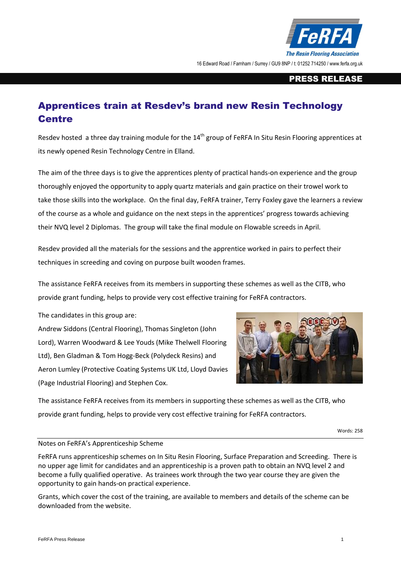

16 Edward Road / Farnham / Surrey / GU9 8NP / t: 01252 714250 / www.ferfa.org.uk

## PRESS RELEASE

## Apprentices train at Resdev's brand new Resin Technology **Centre**

Resdev hosted a three day training module for the 14<sup>th</sup> group of FeRFA In Situ Resin Flooring apprentices at its newly opened Resin Technology Centre in Elland.

The aim of the three days is to give the apprentices plenty of practical hands-on experience and the group thoroughly enjoyed the opportunity to apply quartz materials and gain practice on their trowel work to take those skills into the workplace. On the final day, FeRFA trainer, Terry Foxley gave the learners a review of the course as a whole and guidance on the next steps in the apprentices' progress towards achieving their NVQ level 2 Diplomas. The group will take the final module on Flowable screeds in April.

Resdev provided all the materials for the sessions and the apprentice worked in pairs to perfect their techniques in screeding and coving on purpose built wooden frames.

The assistance FeRFA receives from its members in supporting these schemes as well as the CITB, who provide grant funding, helps to provide very cost effective training for FeRFA contractors.

The candidates in this group are:

Andrew Siddons (Central Flooring), Thomas Singleton (John Lord), Warren Woodward & Lee Youds (Mike Thelwell Flooring Ltd), Ben Gladman & Tom Hogg-Beck (Polydeck Resins) and Aeron Lumley (Protective Coating Systems UK Ltd, Lloyd Davies (Page Industrial Flooring) and Stephen Cox.



The assistance FeRFA receives from its members in supporting these schemes as well as the CITB, who provide grant funding, helps to provide very cost effective training for FeRFA contractors.

Words: 258

## Notes on FeRFA's Apprenticeship Scheme

FeRFA runs apprenticeship schemes on In Situ Resin Flooring, Surface Preparation and Screeding. There is no upper age limit for candidates and an apprenticeship is a proven path to obtain an NVQ level 2 and become a fully qualified operative. As trainees work through the two year course they are given the opportunity to gain hands-on practical experience.

Grants, which cover the cost of the training, are available to members and details of the scheme can be downloaded from the website.